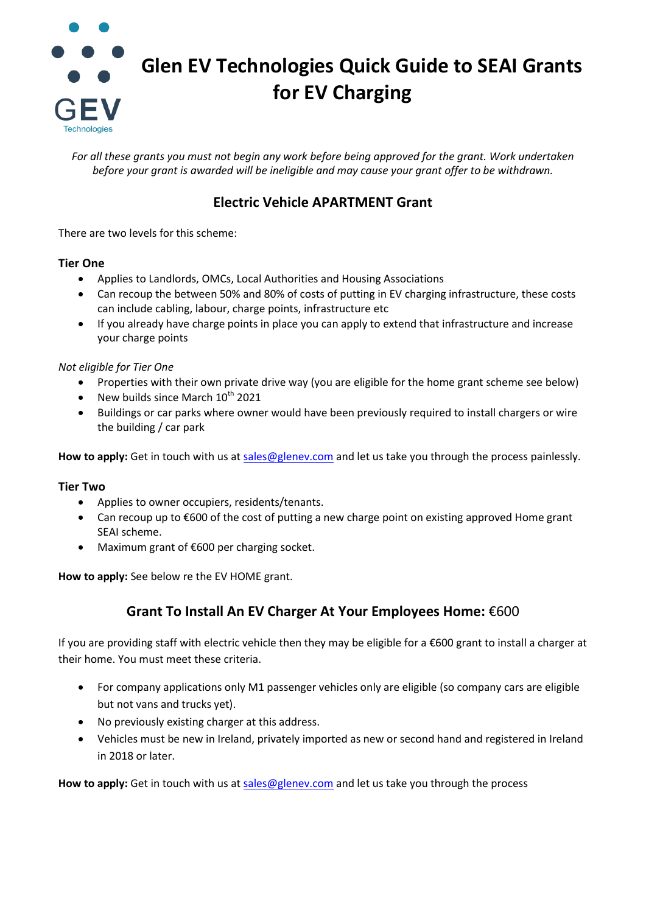

*For all these grants you must not begin any work before being approved for the grant. Work undertaken before your grant is awarded will be ineligible and may cause your grant offer to be withdrawn.*

# **Electric Vehicle APARTMENT Grant**

There are two levels for this scheme:

### **Tier One**

- Applies to Landlords, OMCs, Local Authorities and Housing Associations
- Can recoup the between 50% and 80% of costs of putting in EV charging infrastructure, these costs can include cabling, labour, charge points, infrastructure etc
- If you already have charge points in place you can apply to extend that infrastructure and increase your charge points

*Not eligible for Tier One*

- Properties with their own private drive way (you are eligible for the home grant scheme see below)
- New builds since March  $10^{th}$  2021
- Buildings or car parks where owner would have been previously required to install chargers or wire the building / car park

**How to apply:** Get in touch with us at [sales@glenev.com](mailto:sales@glenev.com) and let us take you through the process painlessly.

#### **Tier Two**

- Applies to owner occupiers, residents/tenants.
- Can recoup up to €600 of the cost of putting a new charge point on existing approved Home grant SEAI scheme.
- Maximum grant of €600 per charging socket.

**How to apply:** See below re the EV HOME grant.

## **Grant To Install An EV Charger At Your Employees Home:** €600

If you are providing staff with electric vehicle then they may be eligible for a €600 grant to install a charger at their home. You must meet these criteria.

- For company applications only M1 passenger vehicles only are eligible (so company cars are eligible but not vans and trucks yet).
- No previously existing charger at this address.
- Vehicles must be new in Ireland, privately imported as new or second hand and registered in Ireland in 2018 or later.

How to apply: Get in touch with us at sales@gleney.com and let us take you through the process